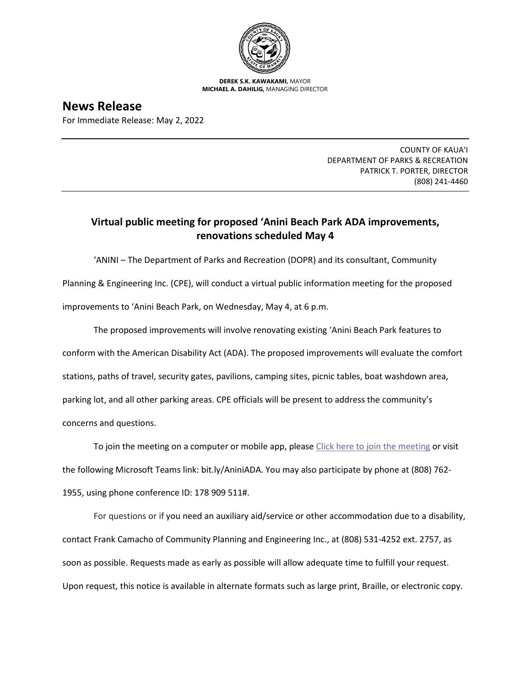

**DEREK S.K. KAWAKAMI,** MAYOR **MICHAEL A. DAHILIG,** MANAGING DIRECTOR

**News Release** For Immediate Release: May 2, 2022

> COUNTY OF KAUA'I DEPARTMENT OF PARKS & RECREATION PATRICK T. PORTER, DIRECTOR (808) 241-4460

## **Virtual public meeting for proposed 'Anini Beach Park ADA improvements, renovations scheduled May 4**

'ANINI – The Department of Parks and Recreation (DOPR) and its consultant, Community Planning & Engineering Inc. (CPE), will conduct a virtual public information meeting for the proposed improvements to 'Anini Beach Park, on Wednesday, May 4, at 6 p.m.

The proposed improvements will involve renovating existing 'Anini Beach Park features to conform with the American Disability Act (ADA). The proposed improvements will evaluate the comfort stations, paths of travel, security gates, pavilions, camping sites, picnic tables, boat washdown area, parking lot, and all other parking areas. CPE officials will be present to address the community's concerns and questions.

To join the meeting on a computer or mobile app, please [Click here to join the meeting](https://nam11.safelinks.protection.outlook.com/ap/t-59584e83/?url=https%3A%2F%2Fteams.microsoft.com%2Fl%2Fmeetup-join%2F19%253ameeting_Y2VjZTlkMTEtNzg0ZC00NWUwLTgyNTEtYjE4M2ExNjk1ZjZh%2540thread.v2%2F0%3Fcontext%3D%257b%2522Tid%2522%253a%252207e978d3-49bb-4f6c-948d-2908f2e20014%2522%252c%2522Oid%2522%253a%25227a4518d1-80ac-430d-8046-450216db8fe4%2522%257d&data=04%7C01%7Ccoya%40cpe-hawaii.com%7C747a755db1ca438c948408da19a1eef6%7C07e978d349bb4f6c948d2908f2e20014%7C0%7C0%7C637850480587343814%7CUnknown%7CTWFpbGZsb3d8eyJWIjoiMC4wLjAwMDAiLCJQIjoiV2luMzIiLCJBTiI6Ik1haWwiLCJXVCI6Mn0%3D%7C3000&sdata=cPv7ynuXDg3dq48sf5NWPrb9RobziNm%2Bk29nBEnE%2BF0%3D&reserved=0) or visit the following Microsoft Teams link: bit.ly/AniniADA. You may also participate by phone at (808) 762- 1955, using phone conference ID: 178 909 511#.

For questions or if you need an auxiliary aid/service or other accommodation due to a disability, contact Frank Camacho of Community Planning and Engineering Inc., at (808) 531-4252 ext. 2757, as soon as possible. Requests made as early as possible will allow adequate time to fulfill your request. Upon request, this notice is available in alternate formats such as large print, Braille, or electronic copy.